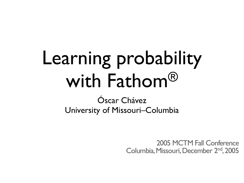#### Learning probability with Fathom®

Óscar Chávez University of Missouri–Columbia

> 2005 MCTM Fall Conference Columbia, Missouri, December 2<sup>nd</sup>, 2005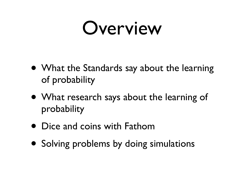#### Overview

- What the Standards say about the learning of probability
- What research says about the learning of probability
- Dice and coins with Fathom
- Solving problems by doing simulations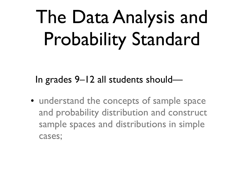#### The Data Analysis and Probability Standard

In grades 9–12 all students should—

• understand the concepts of sample space and probability distribution and construct sample spaces and distributions in simple cases;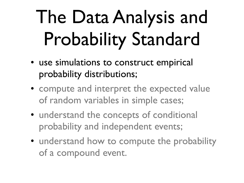#### The Data Analysis and Probability Standard

- use simulations to construct empirical probability distributions;
- compute and interpret the expected value of random variables in simple cases;
- understand the concepts of conditional probability and independent events;
- understand how to compute the probability of a compound event.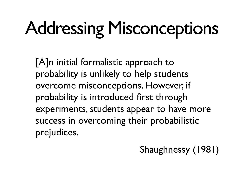# Addressing Misconceptions

[A]n initial formalistic approach to probability is unlikely to help students overcome misconceptions. However, if probability is introduced first through experiments, students appear to have more success in overcoming their probabilistic prejudices.

#### Shaughnessy (1981)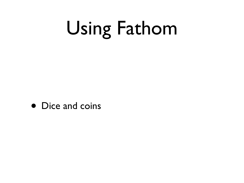# Using Fathom

• Dice and coins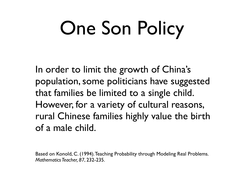# One Son Policy

In order to limit the growth of China's population, some politicians have suggested that families be limited to a single child. However, for a variety of cultural reasons, rural Chinese families highly value the birth of a male child.

Based on Konold, C. (1994). Teaching Probability through Modeling Real Problems. *Mathematics Teacher, 87*, 232-235.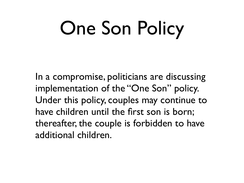### One Son Policy

In a compromise, politicians are discussing implementation of the "One Son" policy. Under this policy, couples may continue to have children until the first son is born; thereafter, the couple is forbidden to have additional children.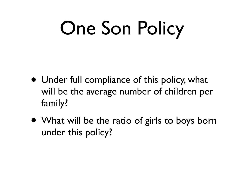# One Son Policy

- Under full compliance of this policy, what will be the average number of children per family?
- What will be the ratio of girls to boys born under this policy?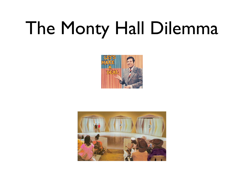#### The Monty Hall Dilemma